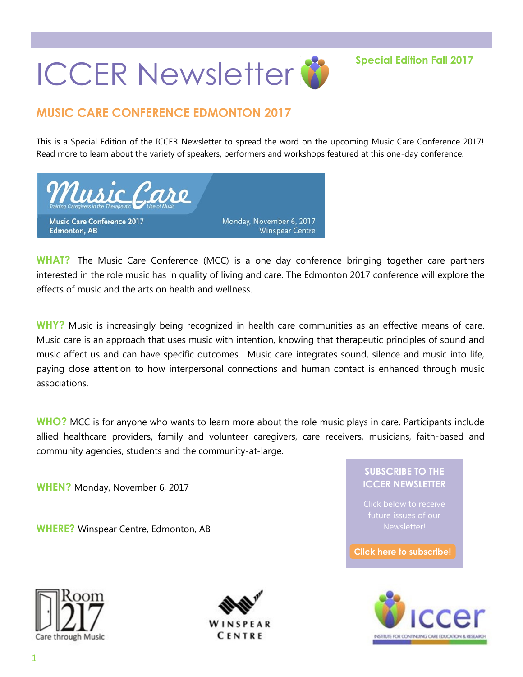# **ICCER Newsletter &** Special Edition Fall 2017

#### **MUSIC CARE CONFERENCE EDMONTON 2017**

This is a Special Edition of the ICCER Newsletter to spread the word on the upcoming Music Care Conference 2017! Read more to learn about the variety of speakers, performers and workshops featured at this one-day conference.



**WHAT?** The Music Care Conference (MCC) is a one day conference bringing together care partners interested in the role music has in quality of living and care. The Edmonton 2017 conference will explore the effects of music and the arts on health and wellness.

**WHY?** Music is increasingly being recognized in health care communities as an effective means of care. Music care is an approach that uses music with intention, knowing that therapeutic principles of sound and music affect us and can have specific outcomes. Music care integrates sound, silence and music into life, paying close attention to how interpersonal connections and human contact is enhanced through music associations.

**WHO?** MCC is for anyone who wants to learn more about the role music plays in care. Participants include allied healthcare providers, family and volunteer caregivers, care receivers, musicians, faith-based and community agencies, students and the community-at-large.

**WHEN?** Monday, November 6, 2017

**WHERE?** Winspear Centre, Edmonton, AB

#### **SUBSCRIBE TO THE ICCER NEWSLETTER**

Click below to receive future issues of our Newsletter!

**[Click here to subscribe!](https://visitor.r20.constantcontact.com/manage/optin?v=001MqUcqqvjwLD850nipaor0JfDCl8lWHPtLmDKE1oKVPadFtCKS64MCgzWnGgYOX6ySCwPrvn1SoXo9nCXIBnYp6cVIXF92mMQ7-obGrUeUfo%3D)**





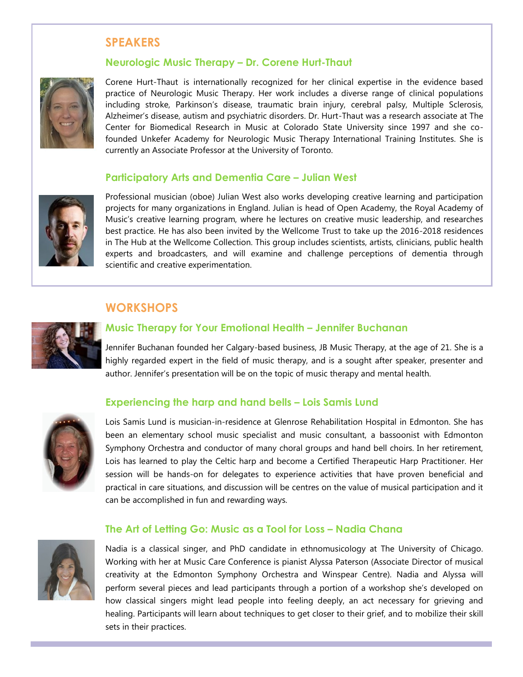#### **SPEAKERS**

#### **Neurologic Music Therapy – Dr. Corene Hurt-Thaut**



Corene Hurt-Thaut is internationally recognized for her clinical expertise in the evidence based practice of Neurologic Music Therapy. Her work includes a diverse range of clinical populations including stroke, Parkinson's disease, traumatic brain injury, cerebral palsy, Multiple Sclerosis, Alzheimer's disease, autism and psychiatric disorders. Dr. Hurt-Thaut was a research associate at The Center for Biomedical Research in Music at Colorado State University since 1997 and she cofounded Unkefer Academy for Neurologic Music Therapy International Training Institutes. She is currently an Associate Professor at the University of Toronto.

#### **Participatory Arts and Dementia Care – Julian West**



Professional musician (oboe) Julian West also works developing creative learning and participation projects for many organizations in England. Julian is head of Open Academy, the Royal Academy of Music's creative learning program, where he lectures on creative music leadership, and researches best practice. He has also been invited by the Wellcome Trust to take up the 2016-2018 residences in The Hub at the Wellcome Collection. This group includes scientists, artists, clinicians, public health experts and broadcasters, and will examine and challenge perceptions of dementia through scientific and creative experimentation.

#### **WORKSHOPS**



#### **Music Therapy for Your Emotional Health – Jennifer Buchanan**

Jennifer Buchanan founded her Calgary-based business, JB Music Therapy, at the age of 21. She is a highly regarded expert in the field of music therapy, and is a sought after speaker, presenter and author. Jennifer's presentation will be on the topic of music therapy and mental health.

#### **Experiencing the harp and hand bells – Lois Samis Lund**



Lois Samis Lund is musician-in-residence at Glenrose Rehabilitation Hospital in Edmonton. She has been an elementary school music specialist and music consultant, a bassoonist with Edmonton Symphony Orchestra and conductor of many choral groups and hand bell choirs. In her retirement, Lois has learned to play the Celtic harp and become a Certified Therapeutic Harp Practitioner. Her session will be hands-on for delegates to experience activities that have proven beneficial and practical in care situations, and discussion will be centres on the value of musical participation and it can be accomplished in fun and rewarding ways.

#### **The Art of Letting Go: Music as a Tool for Loss – Nadia Chana**



Nadia is a classical singer, and PhD candidate in ethnomusicology at The University of Chicago. Working with her at Music Care Conference is pianist Alyssa Paterson (Associate Director of musical creativity at the Edmonton Symphony Orchestra and Winspear Centre). Nadia and Alyssa will perform several pieces and lead participants through a portion of a workshop she's developed on how classical singers might lead people into feeling deeply, an act necessary for grieving and healing. Participants will learn about techniques to get closer to their grief, and to mobilize their skill sets in their practices.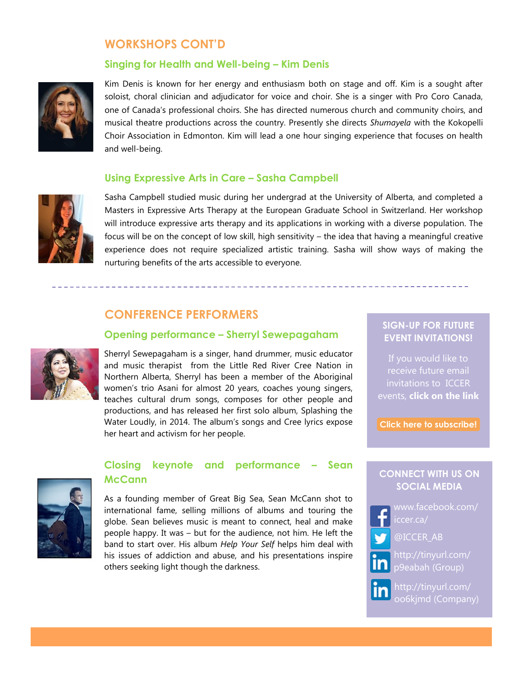#### **WORKSHOPS CONT'D**

#### **Singing for Health and Well-being – Kim Denis**



Kim Denis is known for her energy and enthusiasm both on stage and off. Kim is a sought after soloist, choral clinician and adjudicator for voice and choir. She is a singer with Pro Coro Canada, one of Canada's professional choirs. She has directed numerous church and community choirs, and musical theatre productions across the country. Presently she directs *Shumayela* with the Kokopelli Choir Association in Edmonton. Kim will lead a one hour singing experience that focuses on health and well-being.

#### **Using Expressive Arts in Care – Sasha Campbell**



Sasha Campbell studied music during her undergrad at the University of Alberta, and completed a Masters in Expressive Arts Therapy at the European Graduate School in Switzerland. Her workshop will introduce expressive arts therapy and its applications in working with a diverse population. The focus will be on the concept of low skill, high sensitivity – the idea that having a meaningful creative experience does not require specialized artistic training. Sasha will show ways of making the nurturing benefits of the arts accessible to everyone.

#### **CONFERENCE PERFORMERS**



**Opening performance – Sherryl Sewepagaham**

Sherryl Sewepagaham is a singer, hand drummer, music educator and music therapist from the Little Red River Cree Nation in Northern Alberta, Sherryl has been a member of the Aboriginal women's trio Asani for almost 20 years, coaches young singers, teaches cultural drum songs, composes for other people and productions, and has released her first solo album, Splashing the Water Loudly, in 2014. The album's songs and Cree lyrics expose her heart and activism for her people.

#### **SIGN-UP FOR FUTURE EVENT INVITATIONS!**

If you would like to invitations to ICCER events, **click on the link** 

**[Click here to subscribe!](https://visitor.r20.constantcontact.com/manage/optin?v=001MqUcqqvjwLD850nipaor0HtdI1Y9d8ED2u9ivDzRV7Gp5uTyf2p54vfsufOQXL7BcGZnnLM-9yRAw3TIqncd_CNV4yZzfE9gE8XUs-KE6So%3D)**

#### **Closing keynote and performance – Sean McCann**

As a founding member of Great Big Sea, Sean McCann shot to international fame, selling millions of albums and touring the globe. Sean believes music is meant to connect, heal and make people happy. It was – but for the audience, not him. He left the band to start over. His album *Help Your Self* helps him deal with his issues of addiction and abuse, and his presentations inspire others seeking light though the darkness.

#### **CONNECT WITH US ON SOCIAL MEDIA**



[p9eabah](http://tinyurl.com/p9eabah) (Group)

[http://tinyurl.com/](http://tinyurl.com/oo6kjmd) [oo6kjmd](http://tinyurl.com/oo6kjmd) (Company)